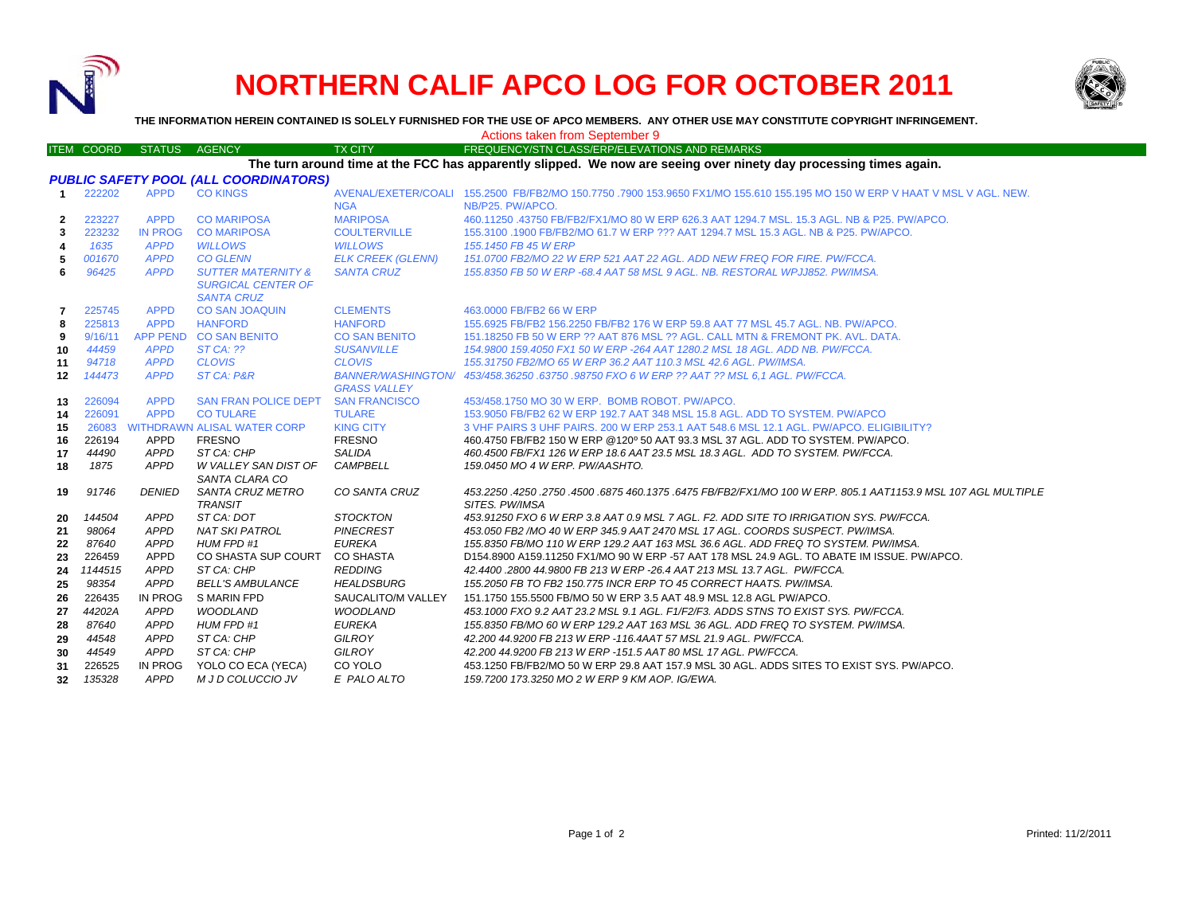

## **NORTHERN CALIF APCO LOG FOR OCTOBER 2011**



**THE INFORMATION HEREIN CONTAINED IS SOLELY FURNISHED FOR THE USE OF APCO MEMBERS. ANY OTHER USE MAY CONSTITUTE COPYRIGHT INFRINGEMENT.**

|                   |             |                                              |                | Actions taken from September 9                                                                                                                 |
|-------------------|-------------|----------------------------------------------|----------------|------------------------------------------------------------------------------------------------------------------------------------------------|
| <b>ITEM COORD</b> |             | STATUS AGENCY                                | <b>TX CITY</b> | FREQUENCY/STN CLASS/ERP/ELEVATIONS AND REMARKS                                                                                                 |
|                   |             |                                              |                | The turn around time at the FCC has apparently slipped. We now are seeing over ninety day processing times again.                              |
|                   |             | <b>PUBLIC SAFETY POOL (ALL COORDINATORS)</b> |                |                                                                                                                                                |
| 222202            | <b>APPD</b> | CO KINGS                                     | <b>NGA</b>     | AVENAL/EXETER/COALL 155,2500 FB/FB2/MO 150,7750,7900 153,9650 FX1/MO 155,610 155,195 MO 150 W ERP V HAAT V MSL V AGL, NEW,<br>NB/P25, PW/APCO. |

|                 |         |                 |                                    | <b>NGA</b>               | NB/P25, PW/APCO.                                                                                                |
|-----------------|---------|-----------------|------------------------------------|--------------------------|-----------------------------------------------------------------------------------------------------------------|
| $\mathbf{2}$    | 223227  | <b>APPD</b>     | <b>CO MARIPOSA</b>                 | <b>MARIPOSA</b>          | 460.11250 .43750 FB/FB2/FX1/MO 80 W ERP 626.3 AAT 1294.7 MSL, 15.3 AGL, NB & P25, PW/APCO,                      |
| 3               | 223232  | <b>IN PROG</b>  | <b>CO MARIPOSA</b>                 | <b>COULTERVILLE</b>      | 155.3100 .1900 FB/FB2/MO 61.7 W ERP ??? AAT 1294.7 MSL 15.3 AGL, NB & P25, PW/APCO.                             |
| 4               | 1635    | <b>APPD</b>     | <b>WILLOWS</b>                     | <b>WILLOWS</b>           | 155, 1450 FB 45 W ERP                                                                                           |
| 5               | 001670  | <b>APPD</b>     | <b>CO GLENN</b>                    | <b>ELK CREEK (GLENN)</b> | 151.0700 FB2/MO 22 W ERP 521 AAT 22 AGL. ADD NEW FREQ FOR FIRE. PW/FCCA.                                        |
| 6               | 96425   | <b>APPD</b>     | <b>SUTTER MATERNITY &amp;</b>      | <b>SANTA CRUZ</b>        | 155.8350 FB 50 W ERP -68.4 AAT 58 MSL 9 AGL. NB. RESTORAL WPJJ852, PW/IMSA.                                     |
|                 |         |                 | <b>SURGICAL CENTER OF</b>          |                          |                                                                                                                 |
|                 |         |                 | <b>SANTA CRUZ</b>                  |                          |                                                                                                                 |
| 7               | 225745  | <b>APPD</b>     | <b>CO SAN JOAQUIN</b>              | <b>CLEMENTS</b>          | 463,0000 FB/FB2 66 W ERP                                                                                        |
| 8               | 225813  | <b>APPD</b>     | <b>HANFORD</b>                     | <b>HANFORD</b>           | 155.6925 FB/FB2 156.2250 FB/FB2 176 W ERP 59.8 AAT 77 MSL 45.7 AGL, NB, PW/APCO,                                |
| 9               | 9/16/11 | <b>APP PEND</b> | <b>CO SAN BENITO</b>               | <b>CO SAN BENITO</b>     | 151.18250 FB 50 W ERP ?? AAT 876 MSL ?? AGL, CALL MTN & FREMONT PK, AVL, DATA.                                  |
| 10              | 44459   | <b>APPD</b>     | $STCA:$ ??                         | <b>SUSANVILLE</b>        | 154,9800 159,4050 FX1 50 W ERP -264 AAT 1280.2 MSL 18 AGL, ADD NB, PW/FCCA.                                     |
| 11              | 94718   | <b>APPD</b>     | <b>CLOVIS</b>                      | <b>CLOVIS</b>            | 155.31750 FB2/MO 65 W ERP 36.2 AAT 110.3 MSL 42.6 AGL. PW/IMSA.                                                 |
| 12              | 144473  | <b>APPD</b>     | ST CA: P&R                         |                          | BANNER/WASHINGTON/ 453/458.36250 .63750 .98750 FXO 6 W ERP ?? AAT ?? MSL 6.1 AGL. PW/FCCA.                      |
|                 |         |                 |                                    | <b>GRASS VALLEY</b>      |                                                                                                                 |
| 13              | 226094  | <b>APPD</b>     | <b>SAN FRAN POLICE DEPT</b>        | <b>SAN FRANCISCO</b>     | 453/458.1750 MO 30 W ERP. BOMB ROBOT, PW/APCO.                                                                  |
| 14              | 226091  | <b>APPD</b>     | <b>CO TULARE</b>                   | <b>TULARE</b>            | 153,9050 FB/FB2 62 W ERP 192.7 AAT 348 MSL 15.8 AGL, ADD TO SYSTEM, PW/APCO                                     |
| 15              | 26083   |                 | <b>WITHDRAWN ALISAL WATER CORP</b> | <b>KING CITY</b>         | 3 VHF PAIRS 3 UHF PAIRS, 200 W ERP 253.1 AAT 548.6 MSL 12.1 AGL, PW/APCO, ELIGIBILITY?                          |
| 16              | 226194  | APPD            | <b>FRESNO</b>                      | <b>FRESNO</b>            | 460.4750 FB/FB2 150 W ERP @120° 50 AAT 93.3 MSL 37 AGL. ADD TO SYSTEM. PW/APCO.                                 |
| 17              | 44490   | <b>APPD</b>     | ST CA: CHP                         | <b>SALIDA</b>            | 460.4500 FB/FX1 126 W ERP 18.6 AAT 23.5 MSL 18.3 AGL. ADD TO SYSTEM. PW/FCCA.                                   |
| 18              | 1875    | <b>APPD</b>     | W VALLEY SAN DIST OF               | <b>CAMPBELL</b>          | 159.0450 MO 4 W ERP. PW/AASHTO.                                                                                 |
|                 |         |                 | SANTA CLARA CO                     |                          |                                                                                                                 |
| 19              | 91746   | <b>DENIED</b>   | SANTA CRUZ METRO                   | CO SANTA CRUZ            | 453.2250 .4250 .2750 .4500 .6875 460 .1375 .6475 FB/FB2/FX1/MO 100 W ERP. 805 .1 AAT1153.9 MSL 107 AGL MULTIPLE |
|                 |         |                 | <b>TRANSIT</b>                     |                          | SITES. PW/IMSA                                                                                                  |
| 20              | 144504  | <b>APPD</b>     | ST CA: DOT                         | <b>STOCKTON</b>          | 453.91250 FXO 6 W ERP 3.8 AAT 0.9 MSL 7 AGL. F2. ADD SITE TO IRRIGATION SYS. PW/FCCA.                           |
| 21              | 98064   | <b>APPD</b>     | <b>NAT SKI PATROL</b>              | <b>PINECREST</b>         | 453.050 FB2 /MO 40 W ERP 345.9 AAT 2470 MSL 17 AGL. COORDS SUSPECT. PW/IMSA.                                    |
| 22              | 87640   | <b>APPD</b>     | HUM FPD #1                         | <b>EUREKA</b>            | 155.8350 FB/MO 110 W ERP 129.2 AAT 163 MSL 36.6 AGL. ADD FREQ TO SYSTEM. PW/IMSA.                               |
| 23              | 226459  | APPD            | CO SHASTA SUP COURT                | CO SHASTA                | D154.8900 A159.11250 FX1/MO 90 W ERP -57 AAT 178 MSL 24.9 AGL. TO ABATE IM ISSUE, PW/APCO.                      |
| 24              | 1144515 | <b>APPD</b>     | ST CA: CHP                         | <b>REDDING</b>           | 42,4400,2800 44,9800 FB 213 W ERP -26,4 AAT 213 MSL 13.7 AGL, PW/FCCA.                                          |
| 25              | 98354   | APPD            | <b>BELL'S AMBULANCE</b>            | <b>HEALDSBURG</b>        | 155,2050 FB TO FB2 150,775 INCR ERP TO 45 CORRECT HAATS, PW/IMSA.                                               |
| 26              | 226435  | <b>IN PROG</b>  | S MARIN FPD                        | SAUCALITO/M VALLEY       | 151.1750 155.5500 FB/MO 50 W ERP 3.5 AAT 48.9 MSL 12.8 AGL PW/APCO.                                             |
| 27              | 44202A  | APPD            | WOODLAND                           | <b>WOODLAND</b>          | 453.1000 FXO 9.2 AAT 23.2 MSL 9.1 AGL. F1/F2/F3. ADDS STNS TO EXIST SYS. PW/FCCA.                               |
| 28              | 87640   | APPD            | <b>HUM FPD #1</b>                  | <b>EUREKA</b>            | 155.8350 FB/MO 60 W ERP 129.2 AAT 163 MSL 36 AGL. ADD FREQ TO SYSTEM. PW/IMSA.                                  |
| 29              | 44548   | APPD            | ST CA: CHP                         | GILROY                   | 42.200 44.9200 FB 213 W ERP -116.4AAT 57 MSL 21.9 AGL. PW/FCCA.                                                 |
| 30              | 44549   | APPD            | ST CA: CHP                         | GILROY                   | 42.200 44.9200 FB 213 W ERP -151.5 AAT 80 MSL 17 AGL. PW/FCCA.                                                  |
| 31              | 226525  | <b>IN PROG</b>  | YOLO CO ECA (YECA)                 | CO YOLO                  | 453.1250 FB/FB2/MO 50 W ERP 29.8 AAT 157.9 MSL 30 AGL. ADDS SITES TO EXIST SYS. PW/APCO.                        |
| 32 <sub>2</sub> | 135328  | <b>APPD</b>     | M J D COLUCCIO JV                  | E PALO ALTO              | 159.7200 173.3250 MO 2 W ERP 9 KM AOP. IG/EWA.                                                                  |